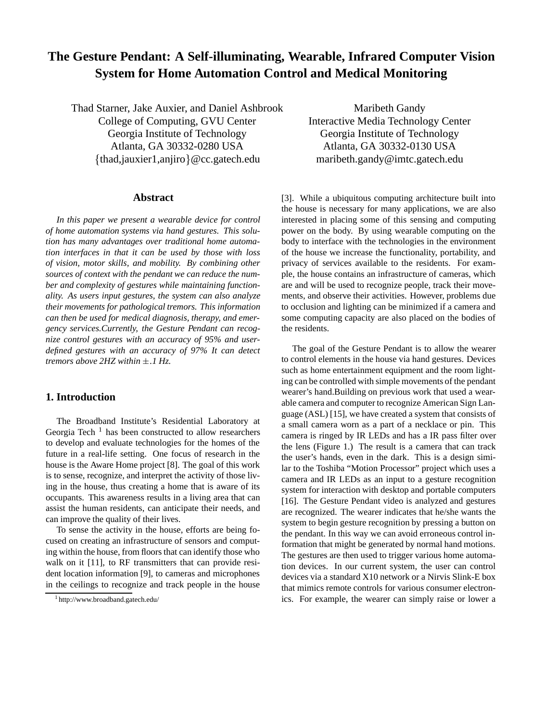# **The Gesture Pendant: A Self-illuminating, Wearable, Infrared Computer Vision System for Home Automation Control and Medical Monitoring**

Thad Starner, Jake Auxier, and Daniel Ashbrook College of Computing, GVU Center Georgia Institute of Technology Atlanta, GA 30332-0280 USA  ${\mathcal{B}}$ cc.gatech.edu

#### **Abstract**

*In this paper we present a wearable device for control of home automation systems via hand gestures. This solution has many advantages over traditional home automation interfaces in that it can be used by those with loss of vision, motor skills, and mobility. By combining other sources of context with the pendant we can reduce the number and complexity of gestures while maintaining functionality. As users input gestures, the system can also analyze their movements for pathological tremors. This information can then be used for medical diagnosis, therapy, and emergency services.Currently, the Gesture Pendant can recognize control gestures with an accuracy of 95% and userdefined gestures with an accuracy of 97% It can detect tremors above 2HZ within*  $\pm$ .1 *Hz*.

# **1. Introduction**

The Broadband Institute's Residential Laboratory at Georgia Tech<sup> $1$ </sup> has been constructed to allow researchers to develop and evaluate technologies for the homes of the future in a real-life setting. One focus of research in the house is the Aware Home project [8]. The goal of this work is to sense, recognize, and interpret the activity of those living in the house, thus creating a home that is aware of its occupants. This awareness results in a living area that can assist the human residents, can anticipate their needs, and can improve the quality of their lives.

To sense the activity in the house, efforts are being focused on creating an infrastructure of sensors and computing within the house, from floors that can identify those who walk on it [11], to RF transmitters that can provide resident location information [9], to cameras and microphones in the ceilings to recognize and track people in the house

Maribeth Gandy Interactive Media Technology Center Georgia Institute of Technology Atlanta, GA 30332-0130 USA maribeth.gandy@imtc.gatech.edu

[3]. While a ubiquitous computing architecture built into the house is necessary for many applications, we are also interested in placing some of this sensing and computing power on the body. By using wearable computing on the body to interface with the technologies in the environment of the house we increase the functionality, portability, and privacy of services available to the residents. For example, the house contains an infrastructure of cameras, which are and will be used to recognize people, track their movements, and observe their activities. However, problems due to occlusion and lighting can be minimized if a camera and some computing capacity are also placed on the bodies of the residents.

The goal of the Gesture Pendant is to allow the wearer to control elements in the house via hand gestures. Devices such as home entertainment equipment and the room lighting can be controlled with simple movements of the pendant wearer's hand.Building on previous work that used a wearable camera and computer to recognize American Sign Language (ASL) [15], we have created a system that consists of a small camera worn as a part of a necklace or pin. This camera is ringed by IR LEDs and has a IR pass filter over the lens (Figure 1.) The result is a camera that can track the user's hands, even in the dark. This is a design similar to the Toshiba "Motion Processor" project which uses a camera and IR LEDs as an input to a gesture recognition system for interaction with desktop and portable computers [16]. The Gesture Pendant video is analyzed and gestures are recognized. The wearer indicates that he/she wants the system to begin gesture recognition by pressing a button on the pendant. In this way we can avoid erroneous control information that might be generated by normal hand motions. The gestures are then used to trigger various home automation devices. In our current system, the user can control devices via a standard X10 network or a Nirvis Slink-E box that mimics remote controls for various consumer electronics. For example, the wearer can simply raise or lower a

<sup>1</sup> http://www.broadband.gatech.edu/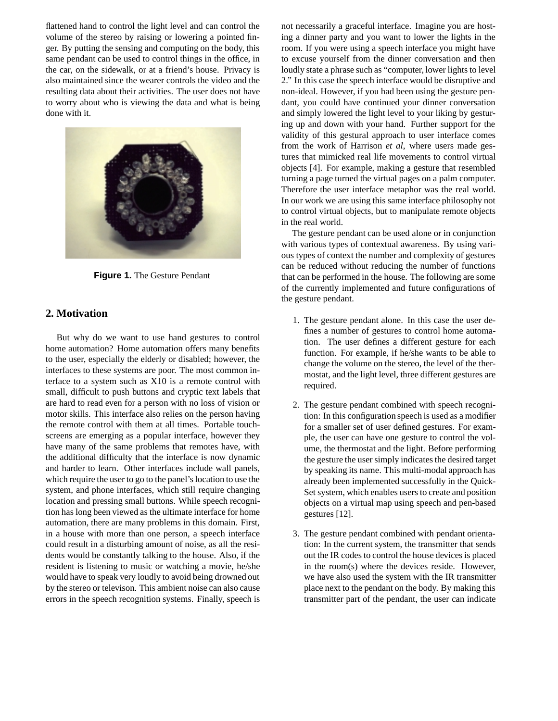flattened hand to control the light level and can control the volume of the stereo by raising or lowering a pointed finger. By putting the sensing and computing on the body, this same pendant can be used to control things in the office, in the car, on the sidewalk, or at a friend's house. Privacy is also maintained since the wearer controls the video and the resulting data about their activities. The user does not have to worry about who is viewing the data and what is being done with it.



**Figure 1.** The Gesture Pendant

# **2. Motivation**

But why do we want to use hand gestures to control home automation? Home automation offers many benefits to the user, especially the elderly or disabled; however, the interfaces to these systems are poor. The most common interface to a system such as X10 is a remote control with small, difficult to push buttons and cryptic text labels that are hard to read even for a person with no loss of vision or motor skills. This interface also relies on the person having the remote control with them at all times. Portable touchscreens are emerging as a popular interface, however they have many of the same problems that remotes have, with the additional difficulty that the interface is now dynamic and harder to learn. Other interfaces include wall panels, which require the user to go to the panel's location to use the system, and phone interfaces, which still require changing location and pressing small buttons. While speech recognition has long been viewed as the ultimate interface for home automation, there are many problems in this domain. First, in a house with more than one person, a speech interface could result in a disturbing amount of noise, as all the residents would be constantly talking to the house. Also, if the resident is listening to music or watching a movie, he/she would have to speak very loudly to avoid being drowned out by the stereo or televison. This ambient noise can also cause errors in the speech recognition systems. Finally, speech is

not necessarily a graceful interface. Imagine you are hosting a dinner party and you want to lower the lights in the room. If you were using a speech interface you might have to excuse yourself from the dinner conversation and then loudly state a phrase such as "computer, lower lights to level 2." In this case the speech interface would be disruptive and non-ideal. However, if you had been using the gesture pendant, you could have continued your dinner conversation and simply lowered the light level to your liking by gesturing up and down with your hand. Further support for the validity of this gestural approach to user interface comes from the work of Harrison *et al*, where users made gestures that mimicked real life movements to control virtual objects [4]. For example, making a gesture that resembled turning a page turned the virtual pages on a palm computer. Therefore the user interface metaphor was the real world. In our work we are using this same interface philosophy not to control virtual objects, but to manipulate remote objects in the real world.

The gesture pendant can be used alone or in conjunction with various types of contextual awareness. By using various types of context the number and complexity of gestures can be reduced without reducing the number of functions that can be performed in the house. The following are some of the currently implemented and future configurations of the gesture pendant.

- 1. The gesture pendant alone. In this case the user defines a number of gestures to control home automation. The user defines a different gesture for each function. For example, if he/she wants to be able to change the volume on the stereo, the level of the thermostat, and the light level, three different gestures are required.
- 2. The gesture pendant combined with speech recognition: In this configuration speech is used as a modifier for a smaller set of user defined gestures. For example, the user can have one gesture to control the volume, the thermostat and the light. Before performing the gesture the user simply indicates the desired target by speaking its name. This multi-modal approach has already been implemented successfully in the Quick-Set system, which enables users to create and position objects on a virtual map using speech and pen-based gestures [12].
- 3. The gesture pendant combined with pendant orientation: In the current system, the transmitter that sends out the IR codes to control the house devices is placed in the room(s) where the devices reside. However, we have also used the system with the IR transmitter place next to the pendant on the body. By making this transmitter part of the pendant, the user can indicate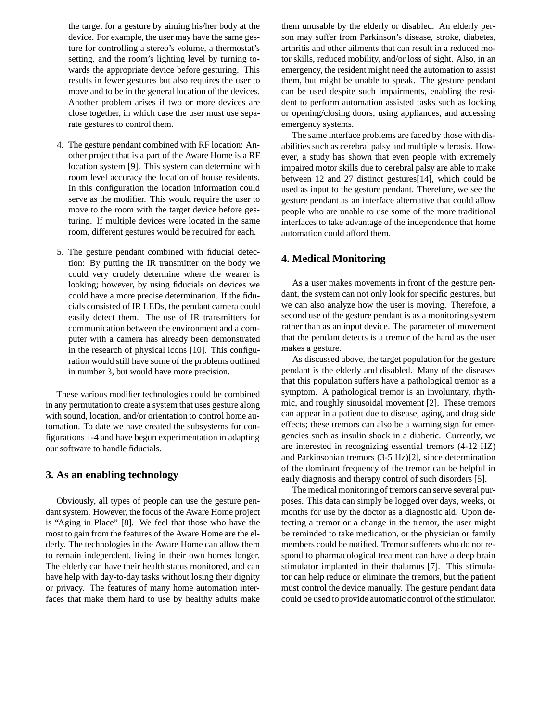the target for a gesture by aiming his/her body at the device. For example, the user may have the same gesture for controlling a stereo's volume, a thermostat's setting, and the room's lighting level by turning towards the appropriate device before gesturing. This results in fewer gestures but also requires the user to move and to be in the general location of the devices. Another problem arises if two or more devices are close together, in which case the user must use separate gestures to control them.

- 4. The gesture pendant combined with RF location: Another project that is a part of the Aware Home is a RF location system [9]. This system can determine with room level accuracy the location of house residents. In this configuration the location information could serve as the modifier. This would require the user to move to the room with the target device before gesturing. If multiple devices were located in the same room, different gestures would be required for each.
- 5. The gesture pendant combined with fiducial detection: By putting the IR transmitter on the body we could very crudely determine where the wearer is looking; however, by using fiducials on devices we could have a more precise determination. If the fiducials consisted of IR LEDs, the pendant camera could easily detect them. The use of IR transmitters for communication between the environment and a computer with a camera has already been demonstrated in the research of physical icons [10]. This configuration would still have some of the problems outlined in number 3, but would have more precision.

These various modifier technologies could be combined in any permutation to create a system that uses gesture along with sound, location, and/or orientation to control home automation. To date we have created the subsystems for configurations 1-4 and have begun experimentation in adapting our software to handle fiducials.

## **3. As an enabling technology**

Obviously, all types of people can use the gesture pendant system. However, the focus of the Aware Home project is "Aging in Place" [8]. We feel that those who have the most to gain from the features of the Aware Home are the elderly. The technologies in the Aware Home can allow them to remain independent, living in their own homes longer. The elderly can have their health status monitored, and can have help with day-to-day tasks without losing their dignity or privacy. The features of many home automation interfaces that make them hard to use by healthy adults make them unusable by the elderly or disabled. An elderly person may suffer from Parkinson's disease, stroke, diabetes, arthritis and other ailments that can result in a reduced motor skills, reduced mobility, and/or loss of sight. Also, in an emergency, the resident might need the automation to assist them, but might be unable to speak. The gesture pendant can be used despite such impairments, enabling the resident to perform automation assisted tasks such as locking or opening/closing doors, using appliances, and accessing emergency systems.

The same interface problems are faced by those with disabilities such as cerebral palsy and multiple sclerosis. However, a study has shown that even people with extremely impaired motor skills due to cerebral palsy are able to make between 12 and 27 distinct gestures[14], which could be used as input to the gesture pendant. Therefore, we see the gesture pendant as an interface alternative that could allow people who are unable to use some of the more traditional interfaces to take advantage of the independence that home automation could afford them.

#### **4. Medical Monitoring**

As a user makes movements in front of the gesture pendant, the system can not only look for specific gestures, but we can also analyze how the user is moving. Therefore, a second use of the gesture pendant is as a monitoring system rather than as an input device. The parameter of movement that the pendant detects is a tremor of the hand as the user makes a gesture.

As discussed above, the target population for the gesture pendant is the elderly and disabled. Many of the diseases that this population suffers have a pathological tremor as a symptom. A pathological tremor is an involuntary, rhythmic, and roughly sinusoidal movement [2]. These tremors can appear in a patient due to disease, aging, and drug side effects; these tremors can also be a warning sign for emergencies such as insulin shock in a diabetic. Currently, we are interested in recognizing essential tremors (4-12 HZ) and Parkinsonian tremors (3-5 Hz)[2], since determination of the dominant frequency of the tremor can be helpful in early diagnosis and therapy control of such disorders [5].

The medical monitoring of tremors can serve several purposes. This data can simply be logged over days, weeks, or months for use by the doctor as a diagnostic aid. Upon detecting a tremor or a change in the tremor, the user might be reminded to take medication, or the physician or family members could be notified. Tremor sufferers who do not respond to pharmacological treatment can have a deep brain stimulator implanted in their thalamus [7]. This stimulator can help reduce or eliminate the tremors, but the patient must control the device manually. The gesture pendant data could be used to provide automatic control of the stimulator.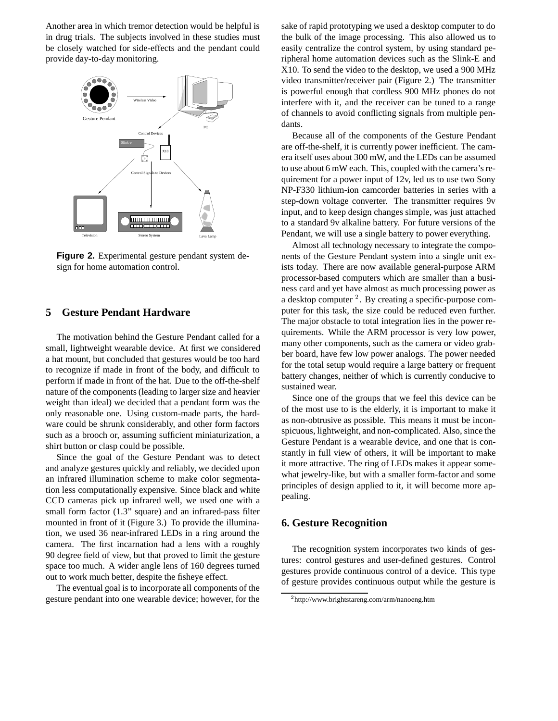Another area in which tremor detection would be helpful is in drug trials. The subjects involved in these studies must be closely watched for side-effects and the pendant could provide day-to-day monitoring.



**Figure 2.** Experimental gesture pendant system design for home automation control.

## **5 Gesture Pendant Hardware**

The motivation behind the Gesture Pendant called for a small, lightweight wearable device. At first we considered a hat mount, but concluded that gestures would be too hard to recognize if made in front of the body, and difficult to perform if made in front of the hat. Due to the off-the-shelf nature of the components (leading to larger size and heavier weight than ideal) we decided that a pendant form was the only reasonable one. Using custom-made parts, the hardware could be shrunk considerably, and other form factors such as a brooch or, assuming sufficient miniaturization, a shirt button or clasp could be possible.

Since the goal of the Gesture Pendant was to detect and analyze gestures quickly and reliably, we decided upon an infrared illumination scheme to make color segmentation less computationally expensive. Since black and white CCD cameras pick up infrared well, we used one with a small form factor (1.3" square) and an infrared-pass filter mounted in front of it (Figure 3.) To provide the illumination, we used 36 near-infrared LEDs in a ring around the camera. The first incarnation had a lens with a roughly 90 degree field of view, but that proved to limit the gesture space too much. A wider angle lens of 160 degrees turned out to work much better, despite the fisheye effect.

The eventual goal is to incorporate all components of the gesture pendant into one wearable device; however, for the sake of rapid prototyping we used a desktop computer to do the bulk of the image processing. This also allowed us to easily centralize the control system, by using standard peripheral home automation devices such as the Slink-E and X10. To send the video to the desktop, we used a 900 MHz video transmitter/receiver pair (Figure 2.) The transmitter is powerful enough that cordless 900 MHz phones do not interfere with it, and the receiver can be tuned to a range of channels to avoid conflicting signals from multiple pendants.

Because all of the components of the Gesture Pendant are off-the-shelf, it is currently power inefficient. The camera itself uses about 300 mW, and the LEDs can be assumed to use about 6 mW each. This, coupled with the camera's requirement for a power input of 12v, led us to use two Sony NP-F330 lithium-ion camcorder batteries in series with a step-down voltage converter. The transmitter requires 9v input, and to keep design changes simple, was just attached to a standard 9v alkaline battery. For future versions of the Pendant, we will use a single battery to power everything.

Almost all technology necessary to integrate the components of the Gesture Pendant system into a single unit exists today. There are now available general-purpose ARM processor-based computers which are smaller than a business card and yet have almost as much processing power as a desktop computer  $2$ . By creating a specific-purpose computer for this task, the size could be reduced even further. The major obstacle to total integration lies in the power requirements. While the ARM processor is very low power, many other components, such as the camera or video grabber board, have few low power analogs. The power needed for the total setup would require a large battery or frequent battery changes, neither of which is currently conducive to sustained wear.

Since one of the groups that we feel this device can be of the most use to is the elderly, it is important to make it as non-obtrusive as possible. This means it must be inconspicuous, lightweight, and non-complicated. Also, since the Gesture Pendant is a wearable device, and one that is constantly in full view of others, it will be important to make it more attractive. The ring of LEDs makes it appear somewhat jewelry-like, but with a smaller form-factor and some principles of design applied to it, it will become more appealing.

#### **6. Gesture Recognition**

The recognition system incorporates two kinds of gestures: control gestures and user-defined gestures. Control gestures provide continuous control of a device. This type of gesture provides continuous output while the gesture is

<sup>2</sup> http://www.brightstareng.com/arm/nanoeng.htm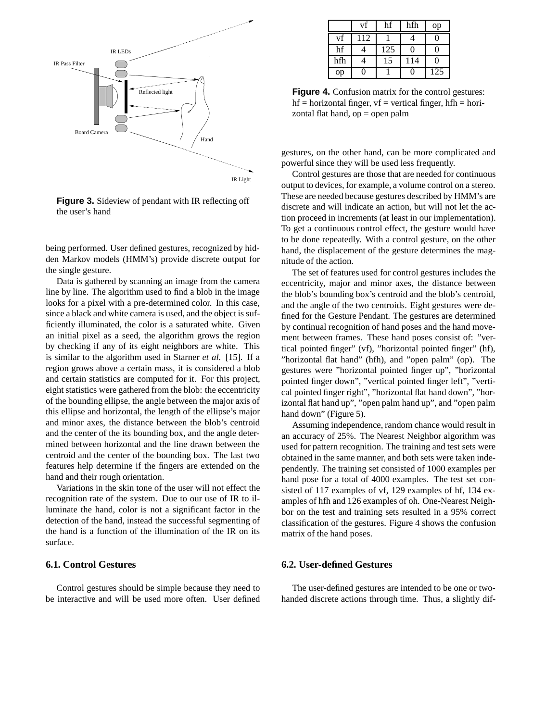

**Figure 3.** Sideview of pendant with IR reflecting off the user's hand

being performed. User defined gestures, recognized by hidden Markov models (HMM's) provide discrete output for the single gesture.

Data is gathered by scanning an image from the camera line by line. The algorithm used to find a blob in the image looks for a pixel with a pre-determined color. In this case, since a black and white camera is used, and the object is sufficiently illuminated, the color is a saturated white. Given an initial pixel as a seed, the algorithm grows the region by checking if any of its eight neighbors are white. This is similar to the algorithm used in Starner *et al.* [15]. If a region grows above a certain mass, it is considered a blob and certain statistics are computed for it. For this project, eight statistics were gathered from the blob: the eccentricity of the bounding ellipse, the angle between the major axis of this ellipse and horizontal, the length of the ellipse's major and minor axes, the distance between the blob's centroid and the center of the its bounding box, and the angle determined between horizontal and the line drawn between the centroid and the center of the bounding box. The last two features help determine if the fingers are extended on the hand and their rough orientation.

Variations in the skin tone of the user will not effect the recognition rate of the system. Due to our use of IR to illuminate the hand, color is not a significant factor in the detection of the hand, instead the successful segmenting of the hand is a function of the illumination of the IR on its surface.

#### **6.1. Control Gestures**

Control gestures should be simple because they need to be interactive and will be used more often. User defined

|     | vf  | hf  | hfh | op  |
|-----|-----|-----|-----|-----|
| vf  | 112 |     |     |     |
| hf  |     | 125 | 0   |     |
| hfh | 4   | 15  | 114 |     |
| op  |     |     |     | 125 |

**Figure 4.** Confusion matrix for the control gestures:  $hf = horizontal finger, vf = vertical finger, hfh = hori$ zontal flat hand,  $op = open$  palm

gestures, on the other hand, can be more complicated and powerful since they will be used less frequently.

Control gestures are those that are needed for continuous output to devices, for example, a volume control on a stereo. These are needed because gestures described by HMM's are discrete and will indicate an action, but will not let the action proceed in increments (at least in our implementation). To get a continuous control effect, the gesture would have to be done repeatedly. With a control gesture, on the other hand, the displacement of the gesture determines the magnitude of the action.

The set of features used for control gestures includes the eccentricity, major and minor axes, the distance between the blob's bounding box's centroid and the blob's centroid, and the angle of the two centroids. Eight gestures were defined for the Gesture Pendant. The gestures are determined by continual recognition of hand poses and the hand movement between frames. These hand poses consist of: "vertical pointed finger" (vf), "horizontal pointed finger" (hf), "horizontal flat hand" (hfh), and "open palm" (op). The gestures were "horizontal pointed finger up", "horizontal pointed finger down", "vertical pointed finger left", "vertical pointed finger right", "horizontal flat hand down", "horizontal flat hand up", "open palm hand up", and "open palm hand down" (Figure 5).

Assuming independence, random chance would result in an accuracy of 25%. The Nearest Neighbor algorithm was used for pattern recognition. The training and test sets were obtained in the same manner, and both sets were taken independently. The training set consisted of 1000 examples per hand pose for a total of 4000 examples. The test set consisted of 117 examples of vf, 129 examples of hf, 134 examples of hfh and 126 examples of oh. One-Nearest Neighbor on the test and training sets resulted in a 95% correct classification of the gestures. Figure 4 shows the confusion matrix of the hand poses.

## **6.2. User-defined Gestures**

The user-defined gestures are intended to be one or twohanded discrete actions through time. Thus, a slightly dif-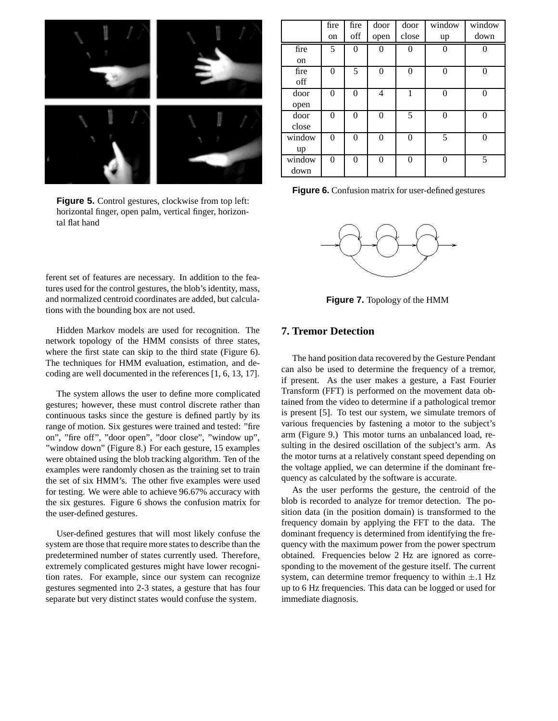

**Figure 5.** Control gestures, clockwise from top left: horizontal finger, open palm, vertical finger, horizontal flat hand

|        | fire     | fire     | door     | door     | window   | window   |
|--------|----------|----------|----------|----------|----------|----------|
|        | on       | off      | open     | close    | up       | down     |
| fire   | 5        | $\theta$ | 0        | $\Omega$ | $\theta$ | 0        |
| on     |          |          |          |          |          |          |
| fire   | $\theta$ | 5        | $\Omega$ | $\theta$ | 0        | 0        |
| off    |          |          |          |          |          |          |
| door   | $\theta$ | $\Omega$ | 4        | 1        | $\Omega$ | $\theta$ |
| open   |          |          |          |          |          |          |
| door   | 0        | 0        | $\Omega$ | 5        | $\Omega$ | 0        |
| close  |          |          |          |          |          |          |
| window | $\theta$ | $\Omega$ | $\Omega$ | $\theta$ | 5        | 0        |
| up     |          |          |          |          |          |          |
| window | 0        | $\Omega$ | 0        | $\Omega$ | 0        | 5        |
| down   |          |          |          |          |          |          |

**Figure 6.** Confusion matrix for user-defined gestures



**Figure 7.** Topology of the HMM

ferent set of features are necessary. In addition to the features used for the control gestures, the blob's identity, mass, and normalized centroid coordinates are added, but calculations with the bounding box are not used.

Hidden Markov models are used for recognition. The network topology of the HMM consists of three states, where the first state can skip to the third state (Figure 6). The techniques for HMM evaluation, estimation, and decoding are well documented in the references [1, 6, 13, 17].

The system allows the user to define more complicated gestures; however, these must control discrete rather than continuous tasks since the gesture is defined partly by its range of motion. Six gestures were trained and tested: "fire on", "fire off", "door open", "door close", "window up", "window down" (Figure 8.) For each gesture, 15 examples were obtained using the blob tracking algorithm. Ten of the examples were randomly chosen as the training set to train the set of six HMM's. The other five examples were used for testing. We were able to achieve 96.67% accuracy with the six gestures. Figure 6 shows the confusion matrix for the user-defined gestures.

User-defined gestures that will most likely confuse the system are those that require more states to describe than the predetermined number of states currently used. Therefore, extremely complicated gestures might have lower recognition rates. For example, since our system can recognize gestures segmented into 2-3 states, a gesture that has four separate but very distinct states would confuse the system.

# **7. Tremor Detection**

The hand position data recovered by the Gesture Pendant can also be used to determine the frequency of a tremor, if present. As the user makes a gesture, a Fast Fourier Transform (FFT) is performed on the movement data obtained from the video to determine if a pathological tremor is present [5]. To test our system, we simulate tremors of various frequencies by fastening a motor to the subject's arm (Figure 9.) This motor turns an unbalanced load, resulting in the desired oscillation of the subject's arm. As the motor turns at a relatively constant speed depending on the voltage applied, we can determine if the dominant frequency as calculated by the software is accurate.

As the user performs the gesture, the centroid of the blob is recorded to analyze for tremor detection. The position data (in the position domain) is transformed to the frequency domain by applying the FFT to the data. The dominant frequency is determined from identifying the frequency with the maximum power from the power spectrum obtained. Frequencies below 2 Hz are ignored as corresponding to the movement of the gesture itself. The current system, can determine tremor frequency to within  $\pm$ .1 Hz up to 6 Hz frequencies. This data can be logged or used for immediate diagnosis.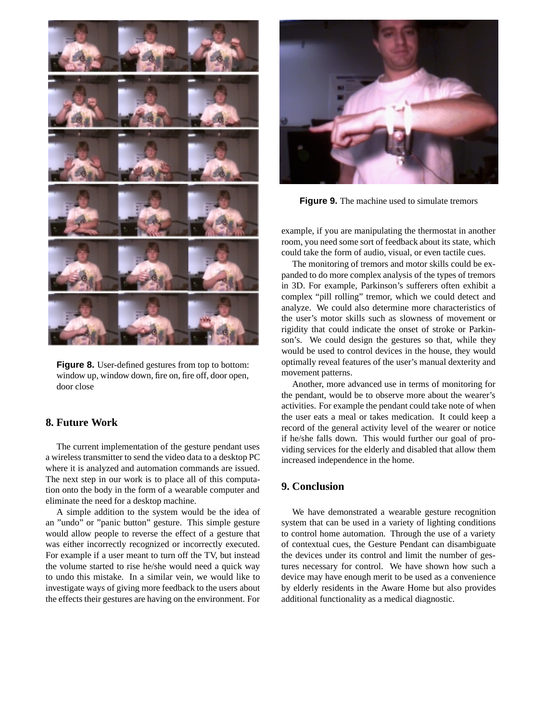

**Figure 8.** User-defined gestures from top to bottom: window up, window down, fire on, fire off, door open, door close

# **8. Future Work**

The current implementation of the gesture pendant uses a wireless transmitter to send the video data to a desktop PC where it is analyzed and automation commands are issued. The next step in our work is to place all of this computation onto the body in the form of a wearable computer and eliminate the need for a desktop machine.

A simple addition to the system would be the idea of an "undo" or "panic button" gesture. This simple gesture would allow people to reverse the effect of a gesture that was either incorrectly recognized or incorrectly executed. For example if a user meant to turn off the TV, but instead the volume started to rise he/she would need a quick way to undo this mistake. In a similar vein, we would like to investigate ways of giving more feedback to the users about the effects their gestures are having on the environment. For



**Figure 9.** The machine used to simulate tremors

example, if you are manipulating the thermostat in another room, you need some sort of feedback about its state, which could take the form of audio, visual, or even tactile cues.

The monitoring of tremors and motor skills could be expanded to do more complex analysis of the types of tremors in 3D. For example, Parkinson's sufferers often exhibit a complex "pill rolling" tremor, which we could detect and analyze. We could also determine more characteristics of the user's motor skills such as slowness of movement or rigidity that could indicate the onset of stroke or Parkinson's. We could design the gestures so that, while they would be used to control devices in the house, they would optimally reveal features of the user's manual dexterity and movement patterns.

Another, more advanced use in terms of monitoring for the pendant, would be to observe more about the wearer's activities. For example the pendant could take note of when the user eats a meal or takes medication. It could keep a record of the general activity level of the wearer or notice if he/she falls down. This would further our goal of providing services for the elderly and disabled that allow them increased independence in the home.

## **9. Conclusion**

We have demonstrated a wearable gesture recognition system that can be used in a variety of lighting conditions to control home automation. Through the use of a variety of contextual cues, the Gesture Pendant can disambiguate the devices under its control and limit the number of gestures necessary for control. We have shown how such a device may have enough merit to be used as a convenience by elderly residents in the Aware Home but also provides additional functionality as a medical diagnostic.